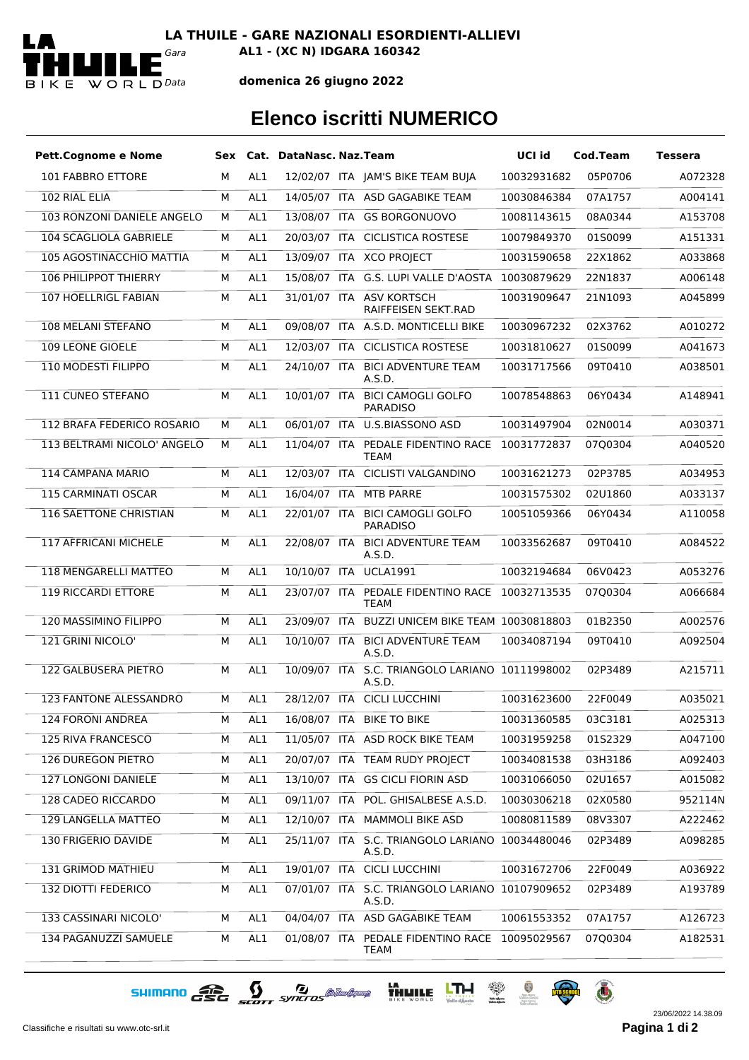

**LA THUILE - GARE NAZIONALI ESORDIENTI-ALLIEVI**

*Gara* **AL1 - (XC N) IDGARA 160342**

## **domenica 26 giugno 2022**

## **Elenco iscritti NUMERICO**

| <b>Pett.Cognome e Nome</b>      |   |                 | Sex Cat. DataNasc. Naz. Team |                                                           | UCI id      | Cod.Team | <b>Tessera</b> |
|---------------------------------|---|-----------------|------------------------------|-----------------------------------------------------------|-------------|----------|----------------|
| 101 FABBRO ETTORE               | м | AL1             |                              | 12/02/07 ITA JAM'S BIKE TEAM BUJA                         | 10032931682 | 05P0706  | A072328        |
| 102 RIAL ELIA                   | М | AL <sub>1</sub> |                              | 14/05/07 ITA ASD GAGABIKE TEAM                            | 10030846384 | 07A1757  | A004141        |
| 103 RONZONI DANIELE ANGELO      | м | AL1             |                              | 13/08/07 ITA GS BORGONUOVO                                | 10081143615 | 08A0344  | A153708        |
| 104 SCAGLIOLA GABRIELE          | м | AL1             |                              | 20/03/07 ITA CICLISTICA ROSTESE                           | 10079849370 | 01S0099  | A151331        |
| <b>105 AGOSTINACCHIO MATTIA</b> | м | AL1             |                              | 13/09/07 ITA XCO PROJECT                                  | 10031590658 | 22X1862  | A033868        |
| <b>106 PHILIPPOT THIERRY</b>    | м | AL <sub>1</sub> |                              | 15/08/07 ITA G.S. LUPI VALLE D'AOSTA 10030879629          |             | 22N1837  | A006148        |
| 107 HOELLRIGL FABIAN            | м | AL1             |                              | 31/01/07 ITA ASV KORTSCH<br>RAIFFEISEN SEKT.RAD           | 10031909647 | 21N1093  | A045899        |
| <b>108 MELANI STEFANO</b>       | м | AL1             |                              | 09/08/07 ITA A.S.D. MONTICELLI BIKE                       | 10030967232 | 02X3762  | A010272        |
| 109 LEONE GIOELE                | м | AL1             |                              | 12/03/07 ITA CICLISTICA ROSTESE                           | 10031810627 | 01S0099  | A041673        |
| 110 MODESTI FILIPPO             | М | AL1             |                              | 24/10/07 ITA BICI ADVENTURE TEAM<br>A.S.D.                | 10031717566 | 09T0410  | A038501        |
| 111 CUNEO STEFANO               | М | AL1             | 10/01/07 ITA                 | <b>BICI CAMOGLI GOLFO</b><br><b>PARADISO</b>              | 10078548863 | 06Y0434  | A148941        |
| 112 BRAFA FEDERICO ROSARIO      | м | AL1             |                              | 06/01/07 ITA U.S.BIASSONO ASD                             | 10031497904 | 02N0014  | A030371        |
| 113 BELTRAMI NICOLO' ANGELO     | м | AL1             |                              | 11/04/07 ITA PEDALE FIDENTINO RACE<br>TEAM                | 10031772837 | 07Q0304  | A040520        |
| 114 CAMPANA MARIO               | м | AL1             |                              | 12/03/07 ITA CICLISTI VALGANDINO                          | 10031621273 | 02P3785  | A034953        |
| 115 CARMINATI OSCAR             | м | AL1             |                              | 16/04/07 ITA MTB PARRE                                    | 10031575302 | 02U1860  | A033137        |
| <b>116 SAETTONE CHRISTIAN</b>   | м | AL1             | 22/01/07 ITA                 | <b>BICI CAMOGLI GOLFO</b><br><b>PARADISO</b>              | 10051059366 | 06Y0434  | A110058        |
| 117 AFFRICANI MICHELE           | м | AL1             | 22/08/07 ITA                 | <b>BICI ADVENTURE TEAM</b><br>A.S.D.                      | 10033562687 | 09T0410  | A084522        |
| 118 MENGARELLI MATTEO           | м | AL <sub>1</sub> |                              | 10/10/07 ITA UCLA1991                                     | 10032194684 | 06V0423  | A053276        |
| <b>119 RICCARDI ETTORE</b>      | м | AL1             | 23/07/07 ITA                 | PEDALE FIDENTINO RACE 10032713535<br>TEAM                 |             | 07Q0304  | A066684        |
| <b>120 MASSIMINO FILIPPO</b>    | м | AL1             |                              | 23/09/07 ITA BUZZI UNICEM BIKE TEAM 10030818803           |             | 01B2350  | A002576        |
| 121 GRINI NICOLO'               | М | AL1             | 10/10/07 ITA                 | <b>BICI ADVENTURE TEAM</b><br>A.S.D.                      | 10034087194 | 09T0410  | A092504        |
| 122 GALBUSERA PIETRO            | м | AL1             | 10/09/07 ITA                 | S.C. TRIANGOLO LARIANO 10111998002<br>A.S.D.              |             | 02P3489  | A215711        |
| 123 FANTONE ALESSANDRO          | М | AL1             |                              | 28/12/07 ITA CICLI LUCCHINI                               | 10031623600 | 22F0049  | A035021        |
| 124 FORONI ANDREA               | м | AL1             |                              | 16/08/07 ITA BIKE TO BIKE                                 | 10031360585 | 03C3181  | A025313        |
| <b>125 RIVA FRANCESCO</b>       | м | AL1             |                              | 11/05/07 ITA ASD ROCK BIKE TEAM                           | 10031959258 | 01S2329  | A047100        |
| 126 DUREGON PIETRO              | м | AL1             |                              | 20/07/07 ITA TEAM RUDY PROJECT                            | 10034081538 | 03H3186  | A092403        |
| 127 LONGONI DANIELE             | М | AL1             |                              | 13/10/07 ITA GS CICLI FIORIN ASD                          | 10031066050 | 02U1657  | A015082        |
| 128 CADEO RICCARDO              | м | AL1             |                              | 09/11/07 ITA POL. GHISALBESE A.S.D.                       | 10030306218 | 02X0580  | 952114N        |
| 129 LANGELLA MATTEO             | м | AL1             |                              | 12/10/07 ITA MAMMOLI BIKE ASD                             | 10080811589 | 08V3307  | A222462        |
| 130 FRIGERIO DAVIDE             | М | AL1             |                              | 25/11/07 ITA S.C. TRIANGOLO LARIANO 10034480046<br>A.S.D. |             | 02P3489  | A098285        |
| 131 GRIMOD MATHIEU              | М | AL1             |                              | 19/01/07 ITA CICLI LUCCHINI                               | 10031672706 | 22F0049  | A036922        |
| 132 DIOTTI FEDERICO             | м | AL1             |                              | 07/01/07 ITA S.C. TRIANGOLO LARIANO 10107909652<br>A.S.D. |             | 02P3489  | A193789        |
| 133 CASSINARI NICOLO'           | М | AL1             |                              | 04/04/07 ITA ASD GAGABIKE TEAM                            | 10061553352 | 07A1757  | A126723        |
| 134 PAGANUZZI SAMUELE           | М | AL1             |                              | 01/08/07 ITA PEDALE FIDENTINO RACE 10095029567<br>TEAM    |             | 07Q0304  | A182531        |

SHIMANO CEC SCOTT SYNCTOS @ MARIANA HALL LINE & A O